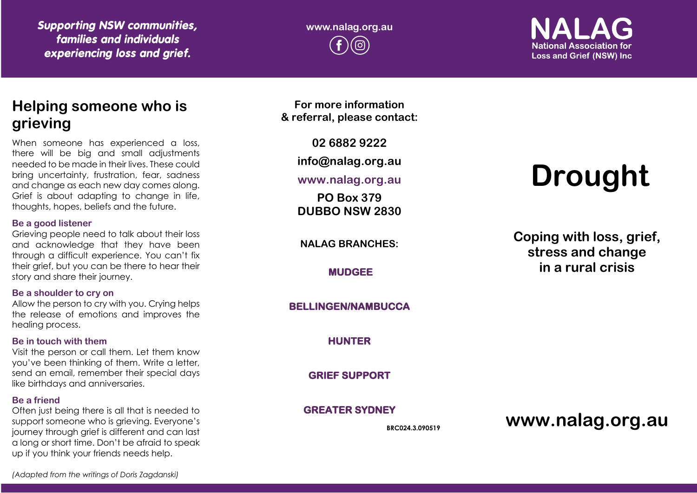*Supporting NSW communities, families and individuals experiencing loss and grief.*

**www.nalag.org.au**

**National Association for Loss and Grief (NSW) Inc.** 

# **Helping someone who is grieving**

When someone has experienced a loss, there will be big and small adjustments needed to be made in their lives. These could bring uncertainty, frustration, fear, sadness and change as each new day comes along. Grief is about adapting to change in life, thoughts, hopes, beliefs and the future.

#### **Be a good listener**

Grieving people need to talk about their loss and acknowledge that they have been through a difficult experience. You can't fix their grief, but you can be there to hear their story and share their journey.

#### **Be a shoulder to cry on**

Allow the person to cry with you. Crying helps the release of emotions and improves the healing process.

#### **Be in touch with them**

Visit the person or call them. Let them know you've been thinking of them. Write a letter, send an email, remember their special days like birthdays and anniversaries.

#### **Be a friend**

Often just being there is all that is needed to support someone who is grieving. Everyone's journey through grief is different and can last a long or short time. Don't be afraid to speak up if you think your friends needs help.

**For more information & referral, please contact:**

**02 6882 9222**

**info@nalag.org.au**

#### **www.nalag.org.au**

**PO Box 379 DUBBO NSW 2830**

**NALAG BRANCHES:**

**MUDGEE** 

#### **BELLINGEN/NAMBUCCA**

**HUNTER** 

**GRIEF SUPPORT** 

#### **GREATER SYDNEY**

**BRC024.3.090519**

# **Drought**

**Coping with loss, grief, stress and change in a rural crisis**

**www.nalag.org.au**

*(Adapted from the writings of Doris Zagdanski)*